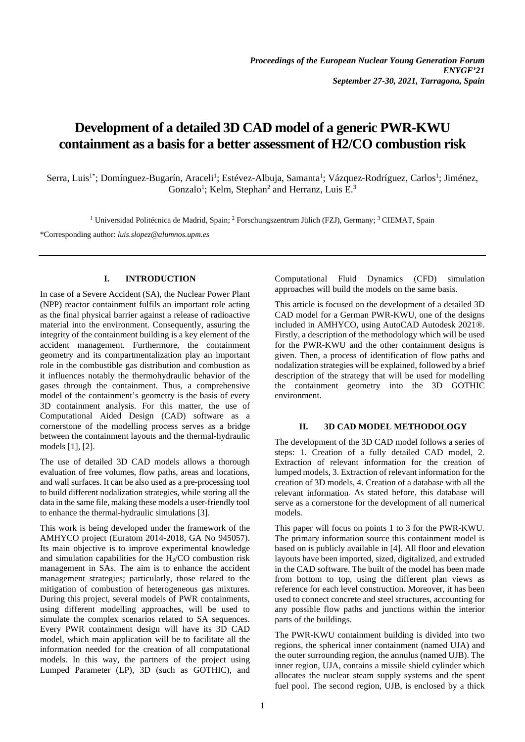# **Development of a detailed 3D CAD model of a generic PWR-KWU containment as a basis for a better assessment of H2/CO combustion risk**

Serra, Luis<sup>1\*</sup>; Domínguez-Bugarín, Araceli<sup>1</sup>; Estévez-Albuja, Samanta<sup>1</sup>; Vázquez-Rodríguez, Carlos<sup>1</sup>; Jiménez, Gonzalo<sup>1</sup>; Kelm, Stephan<sup>2</sup> and Herranz, Luis E.<sup>3</sup>

<sup>1</sup> Universidad Politécnica de Madrid, Spain; <sup>2</sup> Forschungszentrum Jülich (FZJ), Germany; <sup>3</sup> CIEMAT, Spain

\*Corresponding author: *luis.slopez@alumnos.upm.es*

## **I. INTRODUCTION**

In case of a Severe Accident (SA), the Nuclear Power Plant (NPP) reactor containment fulfils an important role acting as the final physical barrier against a release of radioactive material into the environment. Consequently, assuring the integrity of the containment building is a key element of the accident management. Furthermore, the containment geometry and its compartmentalization play an important role in the combustible gas distribution and combustion as it influences notably the thermohydraulic behavior of the gases through the containment. Thus, a comprehensive model of the containment's geometry is the basis of every 3D containment analysis. For this matter, the use of Computational Aided Design (CAD) software as a cornerstone of the modelling process serves as a bridge between the containment layouts and the thermal-hydraulic models [1], [2].

The use of detailed 3D CAD models allows a thorough evaluation of free volumes, flow paths, areas and locations, and wall surfaces. It can be also used as a pre-processing tool to build different nodalization strategies, while storing all the data in the same file, making these models a user-friendly tool to enhance the thermal-hydraulic simulations [3].

This work is being developed under the framework of the AMHYCO project (Euratom 2014-2018, GA No 945057). Its main objective is to improve experimental knowledge and simulation capabilities for the  $H<sub>2</sub>/CO$  combustion risk management in SAs. The aim is to enhance the accident management strategies; particularly, those related to the mitigation of combustion of heterogeneous gas mixtures. During this project, several models of PWR containments, using different modelling approaches, will be used to simulate the complex scenarios related to SA sequences. Every PWR containment design will have its 3D CAD model, which main application will be to facilitate all the information needed for the creation of all computational models. In this way, the partners of the project using Lumped Parameter (LP), 3D (such as GOTHIC), and Computational Fluid Dynamics (CFD) simulation approaches will build the models on the same basis.

This article is focused on the development of a detailed 3D CAD model for a German PWR-KWU, one of the designs included in AMHYCO, using AutoCAD Autodesk 2021®. Firstly, a description of the methodology which will be used for the PWR-KWU and the other containment designs is given. Then, a process of identification of flow paths and nodalization strategies will be explained, followed by a brief description of the strategy that will be used for modelling the containment geometry into the 3D GOTHIC environment.

#### **II. 3D CAD MODEL METHODOLOGY**

The development of the 3D CAD model follows a series of steps: 1. Creation of a fully detailed CAD model, 2. Extraction of relevant information for the creation of lumped models, 3. Extraction of relevant information for the creation of 3D models, 4. Creation of a database with all the relevant information. As stated before, this database will serve as a cornerstone for the development of all numerical models.

This paper will focus on points 1 to 3 for the PWR-KWU. The primary information source this containment model is based on is publicly available in [4]. All floor and elevation layouts have been imported, sized, digitalized, and extruded in the CAD software. The built of the model has been made from bottom to top, using the different plan views as reference for each level construction. Moreover, it has been used to connect concrete and steel structures, accounting for any possible flow paths and junctions within the interior parts of the buildings.

The PWR-KWU containment building is divided into two regions, the spherical inner containment (named UJA) and the outer surrounding region, the annulus (named UJB). The inner region, UJA, contains a missile shield cylinder which allocates the nuclear steam supply systems and the spent fuel pool. The second region, UJB, is enclosed by a thick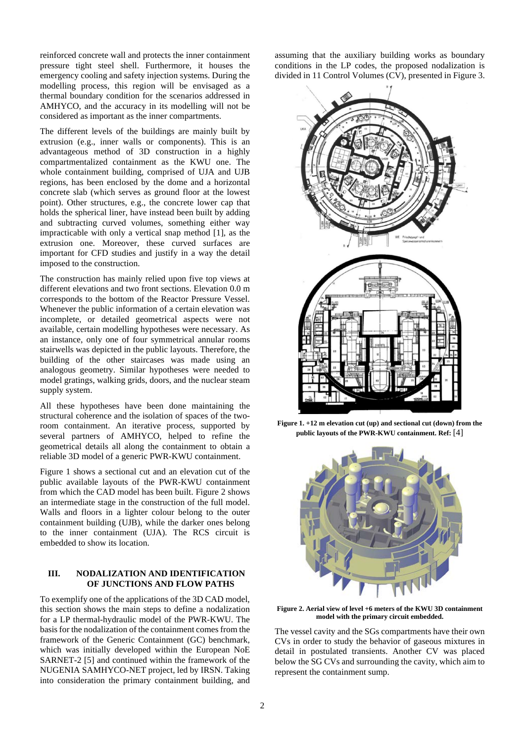reinforced concrete wall and protects the inner containment pressure tight steel shell. Furthermore, it houses the emergency cooling and safety injection systems. During the modelling process, this region will be envisaged as a thermal boundary condition for the scenarios addressed in AMHYCO, and the accuracy in its modelling will not be considered as important as the inner compartments.

The different levels of the buildings are mainly built by extrusion (e.g., inner walls or components). This is an advantageous method of 3D construction in a highly compartmentalized containment as the KWU one. The whole containment building, comprised of UJA and UJB regions, has been enclosed by the dome and a horizontal concrete slab (which serves as ground floor at the lowest point). Other structures, e.g., the concrete lower cap that holds the spherical liner, have instead been built by adding and subtracting curved volumes, something either way impracticable with only a vertical snap method [1], as the extrusion one. Moreover, these curved surfaces are important for CFD studies and justify in a way the detail imposed to the construction.

The construction has mainly relied upon five top views at different elevations and two front sections. Elevation 0.0 m corresponds to the bottom of the Reactor Pressure Vessel. Whenever the public information of a certain elevation was incomplete, or detailed geometrical aspects were not available, certain modelling hypotheses were necessary. As an instance, only one of four symmetrical annular rooms stairwells was depicted in the public layouts. Therefore, the building of the other staircases was made using an analogous geometry. Similar hypotheses were needed to model gratings, walking grids, doors, and the nuclear steam supply system.

All these hypotheses have been done maintaining the structural coherence and the isolation of spaces of the tworoom containment. An iterative process, supported by several partners of AMHYCO, helped to refine the geometrical details all along the containment to obtain a reliable 3D model of a generic PWR-KWU containment.

Figure 1 shows a sectional cut and an elevation cut of the public available layouts of the PWR-KWU containment from which the CAD model has been built. Figure 2 shows an intermediate stage in the construction of the full model. Walls and floors in a lighter colour belong to the outer containment building (UJB), while the darker ones belong to the inner containment (UJA). The RCS circuit is embedded to show its location.

## **III. NODALIZATION AND IDENTIFICATION OF JUNCTIONS AND FLOW PATHS**

To exemplify one of the applications of the 3D CAD model, this section shows the main steps to define a nodalization for a LP thermal-hydraulic model of the PWR-KWU. The basis for the nodalization of the containment comes from the framework of the Generic Containment (GC) benchmark, which was initially developed within the European NoE SARNET-2 [5] and continued within the framework of the NUGENIA SAMHYCO-NET project, led by IRSN. Taking into consideration the primary containment building, and assuming that the auxiliary building works as boundary conditions in the LP codes, the proposed nodalization is divided in 11 Control Volumes (CV), presented in Figure 3.



**Figure 1. +12 m elevation cut (up) and sectional cut (down) from the public layouts of the PWR-KWU containment. Ref:** [4]



**Figure 2. Aerial view of level +6 meters of the KWU 3D containment model with the primary circuit embedded.**

The vessel cavity and the SGs compartments have their own CVs in order to study the behavior of gaseous mixtures in detail in postulated transients. Another CV was placed below the SG CVs and surrounding the cavity, which aim to represent the containment sump.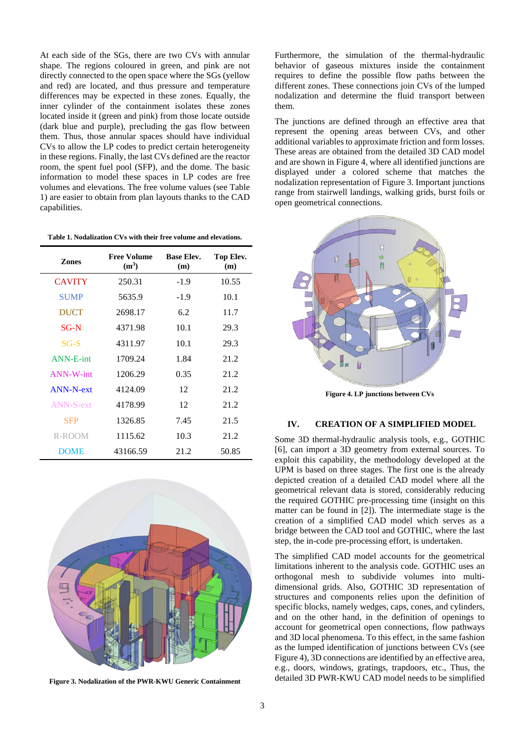At each side of the SGs, there are two CVs with annular shape. The regions coloured in green, and pink are not directly connected to the open space where the SGs (yellow and red) are located, and thus pressure and temperature differences may be expected in these zones. Equally, the inner cylinder of the containment isolates these zones located inside it (green and pink) from those locate outside (dark blue and purple), precluding the gas flow between them. Thus, those annular spaces should have individual CVs to allow the LP codes to predict certain heterogeneity in these regions. Finally, the last CVs defined are the reactor room, the spent fuel pool (SFP), and the dome. The basic information to model these spaces in LP codes are free volumes and elevations. The free volume values (see Table 1) are easier to obtain from plan layouts thanks to the CAD capabilities.

| <b>Zones</b>     | <b>Free Volume</b><br>$(m^3)$ | <b>Base Elev.</b><br>(m) | Top Elev.<br>(m) |
|------------------|-------------------------------|--------------------------|------------------|
| <b>CAVITY</b>    | 250.31                        | $-1.9$                   | 10.55            |
| <b>SUMP</b>      | 5635.9                        | $-1.9$                   | 10.1             |
| <b>DUCT</b>      | 2698.17                       | 6.2                      | 11.7             |
| $SG-N$           | 4371.98                       | 10.1                     | 29.3             |
| $SG-S$           | 4311.97                       | 10.1                     | 29.3             |
| ANN-E-int        | 1709.24                       | 1.84                     | 21.2             |
| <b>ANN-W-int</b> | 1206.29                       | 0.35                     | 21.2             |
| ANN-N-ext        | 4124.09                       | 12                       | 21.2             |
| <b>ANN-S-ext</b> | 4178.99                       | 12                       | 21.2             |
| <b>SFP</b>       | 1326.85                       | 7.45                     | 21.5             |
| R-ROOM           | 1115.62                       | 10.3                     | 21.2             |
| <b>DOME</b>      | 43166.59                      | 21.2                     | 50.85            |



**Figure 3. Nodalization of the PWR-KWU Generic Containment**

Furthermore, the simulation of the thermal-hydraulic behavior of gaseous mixtures inside the containment requires to define the possible flow paths between the different zones. These connections join CVs of the lumped nodalization and determine the fluid transport between them.

The junctions are defined through an effective area that represent the opening areas between CVs, and other additional variables to approximate friction and form losses. These areas are obtained from the detailed 3D CAD model and are shown in Figure 4, where all identified junctions are displayed under a colored scheme that matches the nodalization representation of Figure 3. Important junctions range from stairwell landings, walking grids, burst foils or open geometrical connections.



**Figure 4. LP junctions between CVs**

## **IV. CREATION OF A SIMPLIFIED MODEL**

Some 3D thermal-hydraulic analysis tools, e.g., GOTHIC [6], can import a 3D geometry from external sources. To exploit this capability, the methodology developed at the UPM is based on three stages. The first one is the already depicted creation of a detailed CAD model where all the geometrical relevant data is stored, considerably reducing the required GOTHIC pre-processing time (insight on this matter can be found in [2]). The intermediate stage is the creation of a simplified CAD model which serves as a bridge between the CAD tool and GOTHIC, where the last step, the in-code pre-processing effort, is undertaken.

The simplified CAD model accounts for the geometrical limitations inherent to the analysis code. GOTHIC uses an orthogonal mesh to subdivide volumes into multidimensional grids. Also, GOTHIC 3D representation of structures and components relies upon the definition of specific blocks, namely wedges, caps, cones, and cylinders, and on the other hand, in the definition of openings to account for geometrical open connections, flow pathways and 3D local phenomena. To this effect, in the same fashion as the lumped identification of junctions between CVs (see Figure 4), 3D connections are identified by an effective area, e.g., doors, windows, gratings, trapdoors, etc., Thus, the detailed 3D PWR-KWU CAD model needs to be simplified